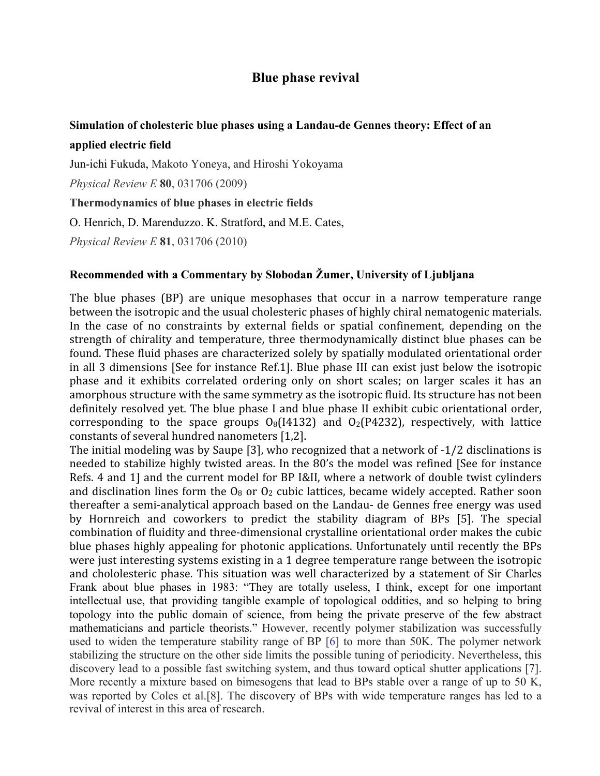## **Blue phase revival**

## Simulation of cholesteric blue phases using a Landau-de Gennes theory: Effect of an applied electric field

Jun-ichi Fukuda, Makoto Yoneya, and Hiroshi Yokoyama

Physical Review E 80, 031706 (2009)

Thermodynamics of blue phases in electric fields

O. Henrich, D. Marenduzzo. K. Stratford, and M.E. Cates,

Physical Review E  $81, 031706 (2010)$ 

## Recommended with a Commentary by Slobodan Žumer, University of Ljubljana

The blue phases (BP) are unique mesophases that occur in a narrow temperature range between the isotropic and the usual cholesteric phases of highly chiral nematogenic materials. In the case of no constraints by external fields or spatial confinement, depending on the strength of chirality and temperature, three thermodynamically distinct blue phases can be found. These fluid phases are characterized solely by spatially modulated orientational order in all 3 dimensions [See for instance Ref.1]. Blue phase III can exist just below the isotropic phase and it exhibits correlated ordering only on short scales; on larger scales it has an amorphous structure with the same symmetry as the isotropic fluid. Its structure has not been definitely resolved yet. The blue phase I and blue phase II exhibit cubic orientational order, corresponding to the space groups  $O_8(14132)$  and  $O_2(P4232)$ , respectively, with lattice constants of several hundred nanometers [1,2].

The initial modeling was by Saupe [3], who recognized that a network of -1/2 disclinations is needed to stabilize highly twisted areas. In the 80's the model was refined [See for instance Refs. 4 and 1] and the current model for BP I&II, where a network of double twist cylinders and disclination lines form the  $0_8$  or  $0_2$  cubic lattices, became widely accepted. Rather soon thereafter a semi-analytical approach based on the Landau- de Gennes free energy was used by Hornreich and coworkers to predict the stability diagram of BPs [5]. The special combination of fluidity and three-dimensional crystalline orientational order makes the cubic blue phases highly appealing for photonic applications. Unfortunately until recently the BPs were just interesting systems existing in a 1 degree temperature range between the isotropic and chololesteric phase. This situation was well characterized by a statement of Sir Charles Frank about blue phases in 1983: "They are totally useless, I think, except for one important intellectual use, that providing tangible example of topological oddities, and so helping to bring topology into the public domain of science, from being the private preserve of the few abstract mathematicians and particle theorists." However, recently polymer stabilization was successfully used to widen the temperature stability range of BP [6] to more than 50K. The polymer network stabilizing the structure on the other side limits the possible tuning of periodicity. Nevertheless, this discovery lead to a possible fast switching system, and thus toward optical shutter applications [7]. More recently a mixture based on bimesogens that lead to BPs stable over a range of up to 50 K. was reported by Coles et al.[8]. The discovery of BPs with wide temperature ranges has led to a revival of interest in this area of research.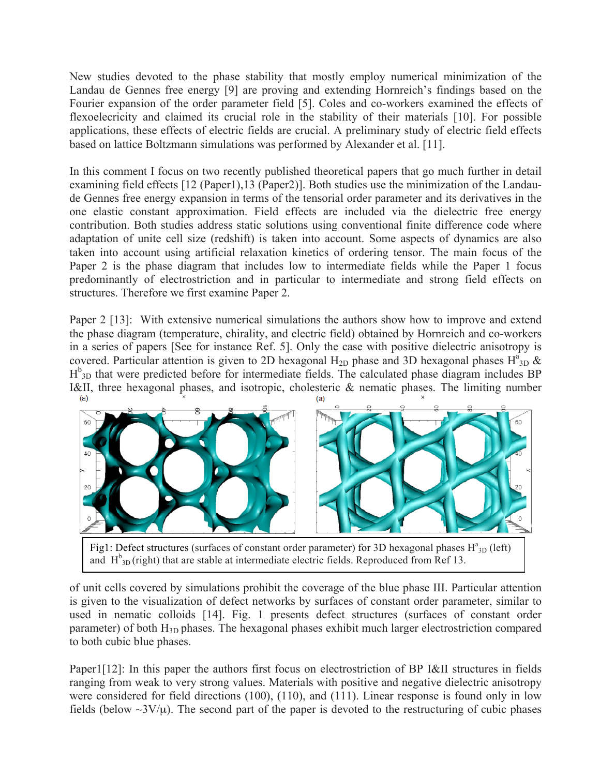New studies devoted to the phase stability that mostly employ numerical minimization of the Landau de Gennes free energy [9] are proving and extending Hornreich's findings based on the Fourier expansion of the order parameter field [5]. Coles and co-workers examined the effects of flexoelecricity and claimed its crucial role in the stability of their materials [10]. For possible applications, these effects of electric fields are crucial. A preliminary study of electric field effects based on lattice Boltzmann simulations was performed by Alexander et al. [11].

In this comment I focus on two recently published theoretical papers that go much further in detail examining field effects [12 (Paper1),13 (Paper2)]. Both studies use the minimization of the Landaude Gennes free energy expansion in terms of the tensorial order parameter and its derivatives in the one elastic constant approximation. Field effects are included via the dielectric free energy contribution. Both studies address static solutions using conventional finite difference code where adaptation of unite cell size (redshift) is taken into account. Some aspects of dynamics are also taken into account using artificial relaxation kinetics of ordering tensor. The main focus of the Paper 2 is the phase diagram that includes low to intermediate fields while the Paper 1 focus predominantly of electrostriction and in particular to intermediate and strong field effects on structures. Therefore we first examine Paper 2.

Paper 2 [13]: With extensive numerical simulations the authors show how to improve and extend the phase diagram (temperature, chirality, and electric field) obtained by Hornreich and co-workers in a series of papers [See for instance Ref. 5]. Only the case with positive dielectric anisotropy is covered. Particular attention is given to 2D hexagonal H<sub>2D</sub> phase and 3D hexagonal phases H<sup>a</sup><sub>3D</sub> &  $H_{3D}^{b}$  that were predicted before for intermediate fields. The calculated phase diagram includes BP I&II, three hexagonal phases, and isotropic, cholesteric & nematic phases. The limiting number



Fig1: Defect structures (surfaces of constant order parameter) for 3D hexagonal phases  $H^a_{3D}$  (left) and  $H_{3D}^{b}$  (right) that are stable at intermediate electric fields. Reproduced from Ref 13.

of unit cells covered by simulations prohibit the coverage of the blue phase III. Particular attention is given to the visualization of defect networks by surfaces of constant order parameter, similar to used in nematic colloids [14]. Fig. 1 presents defect structures (surfaces of constant order parameter) of both H<sub>3D</sub> phases. The hexagonal phases exhibit much larger electrostriction compared to both cubic blue phases.

Paper1[12]: In this paper the authors first focus on electrostriction of BP I&II structures in fields ranging from weak to very strong values. Materials with positive and negative dielectric anisotropy were considered for field directions (100), (110), and (111). Linear response is found only in low fields (below  $\sim 3V/\mu$ ). The second part of the paper is devoted to the restructuring of cubic phases